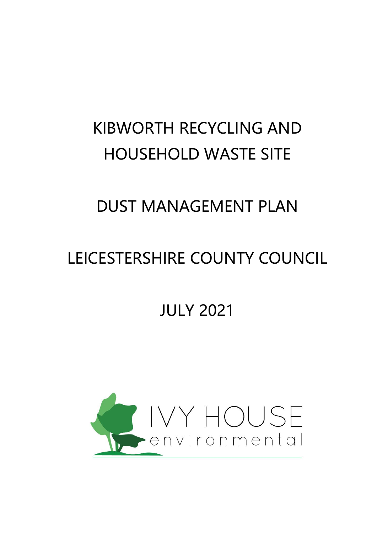# KIBWORTH RECYCLING AND HOUSEHOLD WASTE SITE

# DUST MANAGEMENT PLAN

# LEICESTERSHIRE COUNTY COUNCIL

JULY 2021

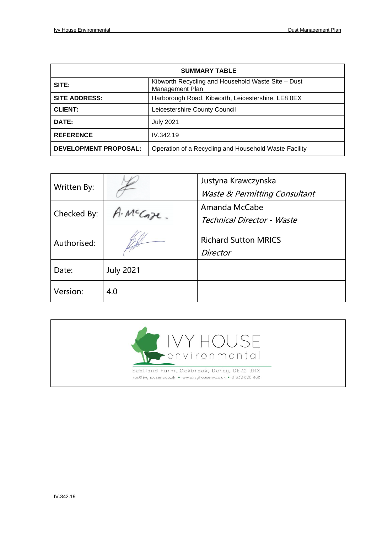| <b>SUMMARY TABLE</b>         |                                                                       |  |  |  |
|------------------------------|-----------------------------------------------------------------------|--|--|--|
| SITE:                        | Kibworth Recycling and Household Waste Site - Dust<br>Management Plan |  |  |  |
| <b>SITE ADDRESS:</b>         | Harborough Road, Kibworth, Leicestershire, LE8 0EX                    |  |  |  |
| <b>CLIENT:</b>               | Leicestershire County Council                                         |  |  |  |
| DATE:                        | <b>July 2021</b>                                                      |  |  |  |
| <b>REFERENCE</b>             | IV.342.19                                                             |  |  |  |
| <b>DEVELOPMENT PROPOSAL:</b> | Operation of a Recycling and Household Waste Facility                 |  |  |  |

| Written By: |                  | Justyna Krawczynska<br>Waste & Permitting Consultant |
|-------------|------------------|------------------------------------------------------|
| Checked By: | A. McCope.       | Amanda McCabe<br><b>Technical Director - Waste</b>   |
| Authorised: |                  | <b>Richard Sutton MRICS</b><br>Director              |
| Date:       | <b>July 2021</b> |                                                      |
| Version:    | 4.0              |                                                      |

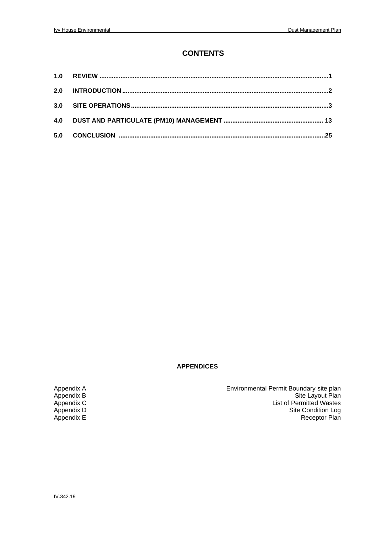#### **CONTENTS**

| 1.0 |  |
|-----|--|
| 2.0 |  |
| 3.0 |  |
| 4.0 |  |
| 5.0 |  |

#### **APPENDICES**

Appendix A Environmental Permit Boundary site plan Appendix B Site Layout Plan Appendix C<br>
Appendix C<br>
Appendix C<br>
Appendix C<br>
Appendix C<br>
Appendix E<br>
Receptor Plan Appendix D Site Condition Log Appendix E Appendix E Receptor Plan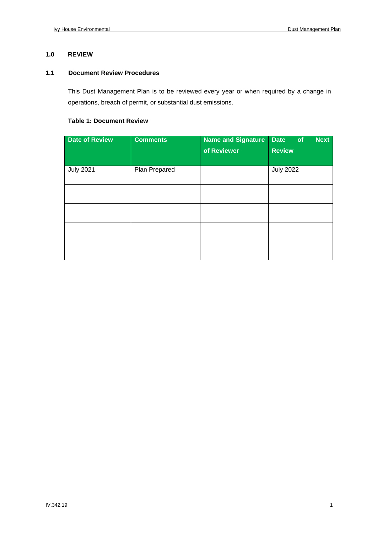#### **1.0 REVIEW**

#### **1.1 Document Review Procedures**

This Dust Management Plan is to be reviewed every year or when required by a change in operations, breach of permit, or substantial dust emissions.

#### **Table 1: Document Review**

| <b>Date of Review</b> | <b>Comments</b> | <b>Name and Signature</b><br>of Reviewer | <b>Date</b><br><b>Next</b><br>of<br><b>Review</b> |
|-----------------------|-----------------|------------------------------------------|---------------------------------------------------|
| <b>July 2021</b>      | Plan Prepared   |                                          | <b>July 2022</b>                                  |
|                       |                 |                                          |                                                   |
|                       |                 |                                          |                                                   |
|                       |                 |                                          |                                                   |
|                       |                 |                                          |                                                   |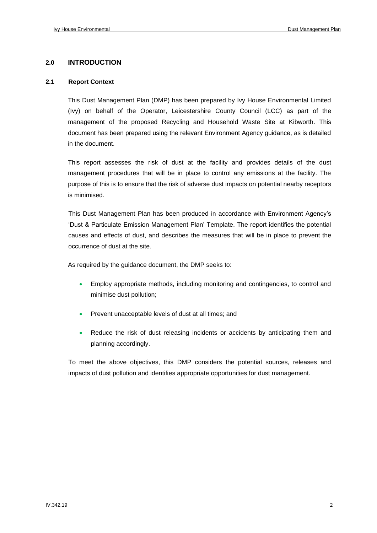#### **2.0 INTRODUCTION**

#### **2.1 Report Context**

This Dust Management Plan (DMP) has been prepared by Ivy House Environmental Limited (Ivy) on behalf of the Operator, Leicestershire County Council (LCC) as part of the management of the proposed Recycling and Household Waste Site at Kibworth. This document has been prepared using the relevant Environment Agency guidance, as is detailed in the document.

This report assesses the risk of dust at the facility and provides details of the dust management procedures that will be in place to control any emissions at the facility. The purpose of this is to ensure that the risk of adverse dust impacts on potential nearby receptors is minimised.

This Dust Management Plan has been produced in accordance with Environment Agency's 'Dust & Particulate Emission Management Plan' Template. The report identifies the potential causes and effects of dust, and describes the measures that will be in place to prevent the occurrence of dust at the site.

As required by the guidance document, the DMP seeks to:

- Employ appropriate methods, including monitoring and contingencies, to control and minimise dust pollution;
- Prevent unacceptable levels of dust at all times; and
- Reduce the risk of dust releasing incidents or accidents by anticipating them and planning accordingly.

To meet the above objectives, this DMP considers the potential sources, releases and impacts of dust pollution and identifies appropriate opportunities for dust management.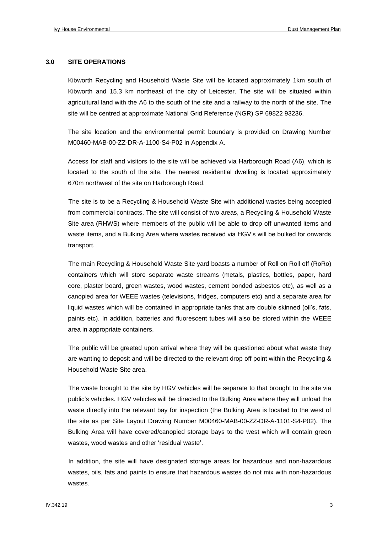#### **3.0 SITE OPERATIONS**

Kibworth Recycling and Household Waste Site will be located approximately 1km south of Kibworth and 15.3 km northeast of the city of Leicester. The site will be situated within agricultural land with the A6 to the south of the site and a railway to the north of the site. The site will be centred at approximate National Grid Reference (NGR) SP 69822 93236.

The site location and the environmental permit boundary is provided on Drawing Number M00460-MAB-00-ZZ-DR-A-1100-S4-P02 in Appendix A.

Access for staff and visitors to the site will be achieved via Harborough Road (A6), which is located to the south of the site. The nearest residential dwelling is located approximately 670m northwest of the site on Harborough Road.

The site is to be a Recycling & Household Waste Site with additional wastes being accepted from commercial contracts. The site will consist of two areas, a Recycling & Household Waste Site area (RHWS) where members of the public will be able to drop off unwanted items and waste items, and a Bulking Area where wastes received via HGV's will be bulked for onwards transport.

The main Recycling & Household Waste Site yard boasts a number of Roll on Roll off (RoRo) containers which will store separate waste streams (metals, plastics, bottles, paper, hard core, plaster board, green wastes, wood wastes, cement bonded asbestos etc), as well as a canopied area for WEEE wastes (televisions, fridges, computers etc) and a separate area for liquid wastes which will be contained in appropriate tanks that are double skinned (oil's, fats, paints etc). In addition, batteries and fluorescent tubes will also be stored within the WEEE area in appropriate containers.

The public will be greeted upon arrival where they will be questioned about what waste they are wanting to deposit and will be directed to the relevant drop off point within the Recycling & Household Waste Site area.

The waste brought to the site by HGV vehicles will be separate to that brought to the site via public's vehicles. HGV vehicles will be directed to the Bulking Area where they will unload the waste directly into the relevant bay for inspection (the Bulking Area is located to the west of the site as per Site Layout Drawing Number M00460-MAB-00-ZZ-DR-A-1101-S4-P02). The Bulking Area will have covered/canopied storage bays to the west which will contain green wastes, wood wastes and other 'residual waste'.

In addition, the site will have designated storage areas for hazardous and non-hazardous wastes, oils, fats and paints to ensure that hazardous wastes do not mix with non-hazardous wastes.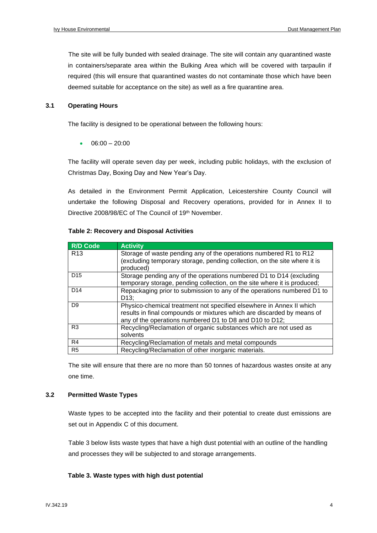The site will be fully bunded with sealed drainage. The site will contain any quarantined waste in containers/separate area within the Bulking Area which will be covered with tarpaulin if required (this will ensure that quarantined wastes do not contaminate those which have been deemed suitable for acceptance on the site) as well as a fire quarantine area.

#### **3.1 Operating Hours**

The facility is designed to be operational between the following hours:

 $06:00 - 20:00$ 

The facility will operate seven day per week, including public holidays, with the exclusion of Christmas Day, Boxing Day and New Year's Day.

As detailed in the Environment Permit Application, Leicestershire County Council will undertake the following Disposal and Recovery operations, provided for in Annex II to Directive 2008/98/EC of The Council of 19<sup>th</sup> November.

| <b>R/D Code</b> | <b>Activity</b>                                                                                                                                                                                           |
|-----------------|-----------------------------------------------------------------------------------------------------------------------------------------------------------------------------------------------------------|
| R <sub>13</sub> | Storage of waste pending any of the operations numbered R1 to R12<br>(excluding temporary storage, pending collection, on the site where it is<br>produced)                                               |
| D <sub>15</sub> | Storage pending any of the operations numbered D1 to D14 (excluding<br>temporary storage, pending collection, on the site where it is produced;                                                           |
| D <sub>14</sub> | Repackaging prior to submission to any of the operations numbered D1 to<br>D <sub>13</sub> :                                                                                                              |
| D <sub>9</sub>  | Physico-chemical treatment not specified elsewhere in Annex II which<br>results in final compounds or mixtures which are discarded by means of<br>any of the operations numbered D1 to D8 and D10 to D12; |
| R <sub>3</sub>  | Recycling/Reclamation of organic substances which are not used as<br>solvents                                                                                                                             |
| R4              | Recycling/Reclamation of metals and metal compounds                                                                                                                                                       |
| R <sub>5</sub>  | Recycling/Reclamation of other inorganic materials.                                                                                                                                                       |

#### **Table 2: Recovery and Disposal Activities**

The site will ensure that there are no more than 50 tonnes of hazardous wastes onsite at any one time.

#### **3.2 Permitted Waste Types**

Waste types to be accepted into the facility and their potential to create dust emissions are set out in Appendix C of this document.

Table 3 below lists waste types that have a high dust potential with an outline of the handling and processes they will be subjected to and storage arrangements.

#### **Table 3. Waste types with high dust potential**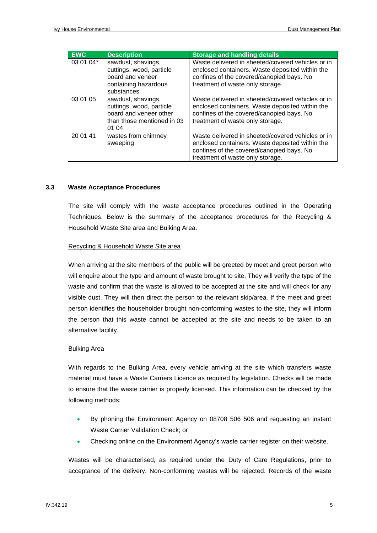| <b>EWC</b> | <b>Description</b>                                                                                              | <b>Storage and handling details</b>                                                                                                                                                   |
|------------|-----------------------------------------------------------------------------------------------------------------|---------------------------------------------------------------------------------------------------------------------------------------------------------------------------------------|
| 03 01 04*  | sawdust, shavings,<br>cuttings, wood, particle<br>board and veneer<br>containing hazardous<br>substances        | Waste delivered in sheeted/covered vehicles or in<br>enclosed containers. Waste deposited within the<br>confines of the covered/canopied bays. No<br>treatment of waste only storage. |
| 03 01 05   | sawdust, shavings,<br>cuttings, wood, particle<br>board and veneer other<br>than those mentioned in 03<br>01 04 | Waste delivered in sheeted/covered vehicles or in<br>enclosed containers. Waste deposited within the<br>confines of the covered/canopied bays. No<br>treatment of waste only storage. |
| 20 01 41   | wastes from chimney<br>sweeping                                                                                 | Waste delivered in sheeted/covered vehicles or in<br>enclosed containers. Waste deposited within the<br>confines of the covered/canopied bays. No<br>treatment of waste only storage. |

#### **3.3 Waste Acceptance Procedures**

The site will comply with the waste acceptance procedures outlined in the Operating Techniques. Below is the summary of the acceptance procedures for the Recycling & Household Waste Site area and Bulking Area.

#### Recycling & Household Waste Site area

When arriving at the site members of the public will be greeted by meet and greet person who will enquire about the type and amount of waste brought to site. They will verify the type of the waste and confirm that the waste is allowed to be accepted at the site and will check for any visible dust. They will then direct the person to the relevant skip/area. If the meet and greet person identifies the householder brought non-conforming wastes to the site, they will inform the person that this waste cannot be accepted at the site and needs to be taken to an alternative facility.

#### Bulking Area

With regards to the Bulking Area, every vehicle arriving at the site which transfers waste material must have a Waste Carriers Licence as required by legislation. Checks will be made to ensure that the waste carrier is properly licensed. This information can be checked by the following methods:

- By phoning the Environment Agency on 08708 506 506 and requesting an instant Waste Carrier Validation Check; or
- Checking online on the Environment Agency's waste carrier register on their website.

Wastes will be characterised, as required under the Duty of Care Regulations, prior to acceptance of the delivery. Non-conforming wastes will be rejected. Records of the waste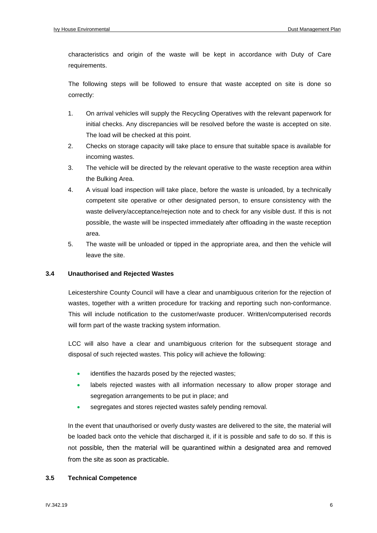characteristics and origin of the waste will be kept in accordance with Duty of Care requirements.

The following steps will be followed to ensure that waste accepted on site is done so correctly:

- 1. On arrival vehicles will supply the Recycling Operatives with the relevant paperwork for initial checks. Any discrepancies will be resolved before the waste is accepted on site. The load will be checked at this point.
- 2. Checks on storage capacity will take place to ensure that suitable space is available for incoming wastes.
- 3. The vehicle will be directed by the relevant operative to the waste reception area within the Bulking Area.
- 4. A visual load inspection will take place, before the waste is unloaded, by a technically competent site operative or other designated person, to ensure consistency with the waste delivery/acceptance/rejection note and to check for any visible dust. If this is not possible, the waste will be inspected immediately after offloading in the waste reception area.
- 5. The waste will be unloaded or tipped in the appropriate area, and then the vehicle will leave the site.

#### **3.4 Unauthorised and Rejected Wastes**

Leicestershire County Council will have a clear and unambiguous criterion for the rejection of wastes, together with a written procedure for tracking and reporting such non-conformance. This will include notification to the customer/waste producer. Written/computerised records will form part of the waste tracking system information.

LCC will also have a clear and unambiguous criterion for the subsequent storage and disposal of such rejected wastes. This policy will achieve the following:

- identifies the hazards posed by the rejected wastes;
- labels rejected wastes with all information necessary to allow proper storage and segregation arrangements to be put in place; and
- segregates and stores rejected wastes safely pending removal.

In the event that unauthorised or overly dusty wastes are delivered to the site, the material will be loaded back onto the vehicle that discharged it, if it is possible and safe to do so. If this is not possible, then the material will be quarantined within a designated area and removed from the site as soon as practicable.

#### **3.5 Technical Competence**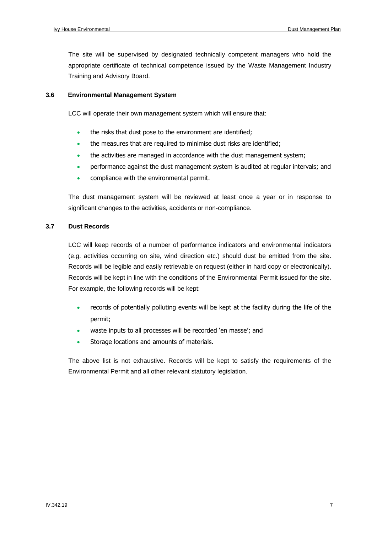The site will be supervised by designated technically competent managers who hold the appropriate certificate of technical competence issued by the Waste Management Industry Training and Advisory Board.

#### **3.6 Environmental Management System**

LCC will operate their own management system which will ensure that:

- the risks that dust pose to the environment are identified;
- the measures that are required to minimise dust risks are identified;
- the activities are managed in accordance with the dust management system;
- performance against the dust management system is audited at regular intervals; and
- compliance with the environmental permit.

The dust management system will be reviewed at least once a year or in response to significant changes to the activities, accidents or non-compliance.

#### **3.7 Dust Records**

LCC will keep records of a number of performance indicators and environmental indicators (e.g. activities occurring on site, wind direction etc.) should dust be emitted from the site. Records will be legible and easily retrievable on request (either in hard copy or electronically). Records will be kept in line with the conditions of the Environmental Permit issued for the site. For example, the following records will be kept:

- records of potentially polluting events will be kept at the facility during the life of the permit;
- waste inputs to all processes will be recorded 'en masse'; and
- Storage locations and amounts of materials.

The above list is not exhaustive. Records will be kept to satisfy the requirements of the Environmental Permit and all other relevant statutory legislation.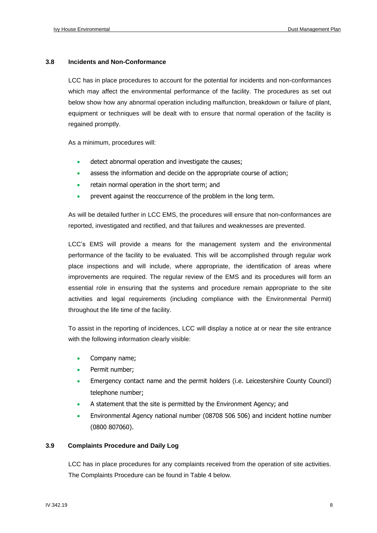#### **3.8 Incidents and Non-Conformance**

LCC has in place procedures to account for the potential for incidents and non-conformances which may affect the environmental performance of the facility. The procedures as set out below show how any abnormal operation including malfunction, breakdown or failure of plant, equipment or techniques will be dealt with to ensure that normal operation of the facility is regained promptly.

As a minimum, procedures will:

- detect abnormal operation and investigate the causes;
- assess the information and decide on the appropriate course of action;
- retain normal operation in the short term; and
- prevent against the reoccurrence of the problem in the long term.

As will be detailed further in LCC EMS, the procedures will ensure that non-conformances are reported, investigated and rectified, and that failures and weaknesses are prevented.

LCC's EMS will provide a means for the management system and the environmental performance of the facility to be evaluated. This will be accomplished through regular work place inspections and will include, where appropriate, the identification of areas where improvements are required. The regular review of the EMS and its procedures will form an essential role in ensuring that the systems and procedure remain appropriate to the site activities and legal requirements (including compliance with the Environmental Permit) throughout the life time of the facility.

To assist in the reporting of incidences, LCC will display a notice at or near the site entrance with the following information clearly visible:

- Company name;
- Permit number;
- Emergency contact name and the permit holders (i.e. Leicestershire County Council) telephone number;
- A statement that the site is permitted by the Environment Agency; and
- Environmental Agency national number (08708 506 506) and incident hotline number (0800 807060).

#### **3.9 Complaints Procedure and Daily Log**

LCC has in place procedures for any complaints received from the operation of site activities. The Complaints Procedure can be found in Table 4 below.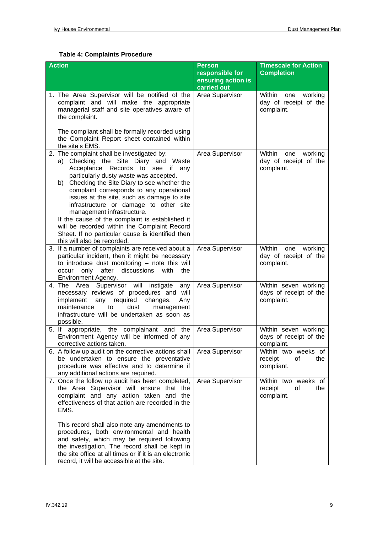#### **Table 4: Complaints Procedure**

| <b>Action</b>                                                                                                                                                                                                                                                                                                                                                                                                                                                                                                                                                                      | <b>Person</b><br>responsible for<br>ensuring action is<br>carried out | <b>Timescale for Action</b><br><b>Completion</b>                |
|------------------------------------------------------------------------------------------------------------------------------------------------------------------------------------------------------------------------------------------------------------------------------------------------------------------------------------------------------------------------------------------------------------------------------------------------------------------------------------------------------------------------------------------------------------------------------------|-----------------------------------------------------------------------|-----------------------------------------------------------------|
| 1. The Area Supervisor will be notified of the<br>complaint and will make the appropriate<br>managerial staff and site operatives aware of<br>the complaint.                                                                                                                                                                                                                                                                                                                                                                                                                       | Area Supervisor                                                       | Within<br>one<br>working<br>day of receipt of the<br>complaint. |
| The compliant shall be formally recorded using<br>the Complaint Report sheet contained within<br>the site's EMS.                                                                                                                                                                                                                                                                                                                                                                                                                                                                   |                                                                       |                                                                 |
| 2. The complaint shall be investigated by:<br>a) Checking the Site Diary and Waste<br>Acceptance Records to see<br>if<br>any<br>particularly dusty waste was accepted.<br>Checking the Site Diary to see whether the<br>b)<br>complaint corresponds to any operational<br>issues at the site, such as damage to site<br>infrastructure or damage to other site<br>management infrastructure.<br>If the cause of the complaint is established it<br>will be recorded within the Complaint Record<br>Sheet. If no particular cause is identified then<br>this will also be recorded. | Area Supervisor                                                       | Within<br>one<br>working<br>day of receipt of the<br>complaint. |
| 3. If a number of complaints are received about a<br>particular incident, then it might be necessary<br>to introduce dust monitoring - note this will<br>occur only after discussions<br>with<br>the<br>Environment Agency.                                                                                                                                                                                                                                                                                                                                                        | Area Supervisor                                                       | Within<br>one<br>working<br>day of receipt of the<br>complaint. |
| 4. The Area Supervisor will instigate<br>any<br>necessary reviews of procedures and will<br>implement<br>required<br>changes.<br>any<br>Any<br>maintenance<br>dust<br>to<br>management<br>infrastructure will be undertaken as soon as<br>possible.                                                                                                                                                                                                                                                                                                                                | Area Supervisor                                                       | Within seven working<br>days of receipt of the<br>complaint.    |
| 5. If appropriate, the complainant and the<br>Environment Agency will be informed of any<br>corrective actions taken.                                                                                                                                                                                                                                                                                                                                                                                                                                                              | Area Supervisor                                                       | Within seven working<br>days of receipt of the<br>complaint.    |
| 6. A follow up audit on the corrective actions shall<br>be undertaken to ensure the preventative<br>procedure was effective and to determine if<br>any additional actions are required.                                                                                                                                                                                                                                                                                                                                                                                            | Area Supervisor                                                       | Within two weeks of<br>receipt<br>of<br>the<br>compliant.       |
| 7. Once the follow up audit has been completed,<br>the Area Supervisor will ensure that the<br>complaint and any action taken and the<br>effectiveness of that action are recorded in the<br>EMS.                                                                                                                                                                                                                                                                                                                                                                                  | Area Supervisor                                                       | Within two weeks of<br>of<br>receipt<br>the<br>complaint.       |
| This record shall also note any amendments to<br>procedures, both environmental and health<br>and safety, which may be required following<br>the investigation. The record shall be kept in<br>the site office at all times or if it is an electronic<br>record, it will be accessible at the site.                                                                                                                                                                                                                                                                                |                                                                       |                                                                 |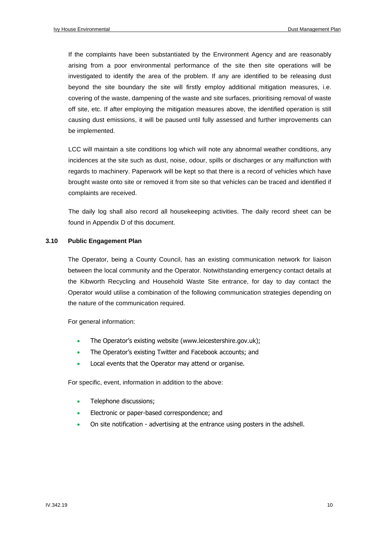If the complaints have been substantiated by the Environment Agency and are reasonably arising from a poor environmental performance of the site then site operations will be investigated to identify the area of the problem. If any are identified to be releasing dust beyond the site boundary the site will firstly employ additional mitigation measures, i.e. covering of the waste, dampening of the waste and site surfaces, prioritising removal of waste off site, etc. If after employing the mitigation measures above, the identified operation is still causing dust emissions, it will be paused until fully assessed and further improvements can be implemented.

LCC will maintain a site conditions log which will note any abnormal weather conditions, any incidences at the site such as dust, noise, odour, spills or discharges or any malfunction with regards to machinery. Paperwork will be kept so that there is a record of vehicles which have brought waste onto site or removed it from site so that vehicles can be traced and identified if complaints are received.

The daily log shall also record all housekeeping activities. The daily record sheet can be found in Appendix D of this document.

#### **3.10 Public Engagement Plan**

The Operator, being a County Council, has an existing communication network for liaison between the local community and the Operator. Notwithstanding emergency contact details at the Kibworth Recycling and Household Waste Site entrance, for day to day contact the Operator would utilise a combination of the following communication strategies depending on the nature of the communication required.

For general information:

- The Operator's existing website (www.leicestershire.gov.uk);
- The Operator's existing Twitter and Facebook accounts; and
- Local events that the Operator may attend or organise.

For specific, event, information in addition to the above:

- Telephone discussions;
- Electronic or paper-based correspondence; and
- On site notification advertising at the entrance using posters in the adshell.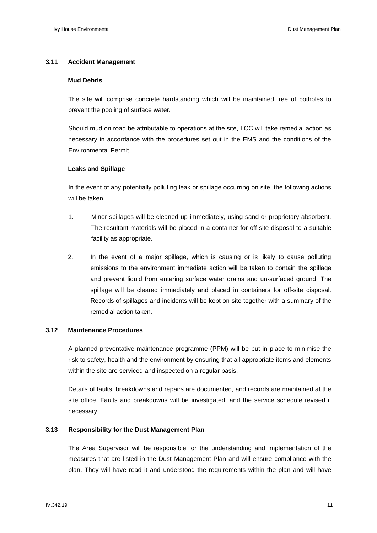#### **3.11 Accident Management**

#### **Mud Debris**

The site will comprise concrete hardstanding which will be maintained free of potholes to prevent the pooling of surface water.

Should mud on road be attributable to operations at the site, LCC will take remedial action as necessary in accordance with the procedures set out in the EMS and the conditions of the Environmental Permit.

#### **Leaks and Spillage**

In the event of any potentially polluting leak or spillage occurring on site, the following actions will be taken.

- 1. Minor spillages will be cleaned up immediately, using sand or proprietary absorbent. The resultant materials will be placed in a container for off-site disposal to a suitable facility as appropriate.
- 2. In the event of a major spillage, which is causing or is likely to cause polluting emissions to the environment immediate action will be taken to contain the spillage and prevent liquid from entering surface water drains and un-surfaced ground. The spillage will be cleared immediately and placed in containers for off-site disposal. Records of spillages and incidents will be kept on site together with a summary of the remedial action taken.

#### **3.12 Maintenance Procedures**

A planned preventative maintenance programme (PPM) will be put in place to minimise the risk to safety, health and the environment by ensuring that all appropriate items and elements within the site are serviced and inspected on a regular basis.

Details of faults, breakdowns and repairs are documented, and records are maintained at the site office. Faults and breakdowns will be investigated, and the service schedule revised if necessary.

#### **3.13 Responsibility for the Dust Management Plan**

The Area Supervisor will be responsible for the understanding and implementation of the measures that are listed in the Dust Management Plan and will ensure compliance with the plan. They will have read it and understood the requirements within the plan and will have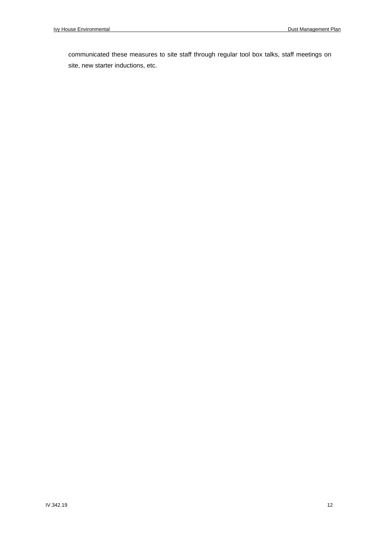communicated these measures to site staff through regular tool box talks, staff meetings on site, new starter inductions, etc.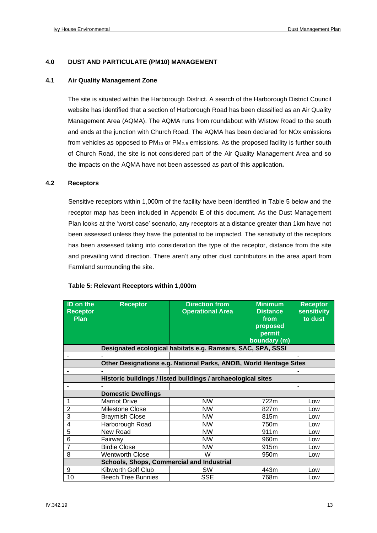#### **4.0 DUST AND PARTICULATE (PM10) MANAGEMENT**

#### **4.1 Air Quality Management Zone**

The site is situated within the Harborough District. A search of the Harborough District Council website has identified that a section of Harborough Road has been classified as an Air Quality Management Area (AQMA). The AQMA runs from roundabout with Wistow Road to the south and ends at the junction with Church Road. The AQMA has been declared for NOx emissions from vehicles as opposed to  $PM_{10}$  or  $PM_{2.5}$  emissions. As the proposed facility is further south of Church Road, the site is not considered part of the Air Quality Management Area and so the impacts on the AQMA have not been assessed as part of this application**.**

#### **4.2 Receptors**

Sensitive receptors within 1,000m of the facility have been identified in Table 5 below and the receptor map has been included in Appendix E of this document. As the Dust Management Plan looks at the 'worst case' scenario, any receptors at a distance greater than 1km have not been assessed unless they have the potential to be impacted. The sensitivity of the receptors has been assessed taking into consideration the type of the receptor, distance from the site and prevailing wind direction. There aren't any other dust contributors in the area apart from Farmland surrounding the site.

| <b>ID on the</b><br><b>Receptor</b><br><b>Plan</b> | <b>Receptor</b>                           | <b>Direction from</b><br><b>Operational Area</b>                   | <b>Minimum</b><br><b>Distance</b><br>from<br>proposed<br>permit<br>boundary (m) | <b>Receptor</b><br><b>sensitivity</b><br>to dust |
|----------------------------------------------------|-------------------------------------------|--------------------------------------------------------------------|---------------------------------------------------------------------------------|--------------------------------------------------|
|                                                    |                                           | Designated ecological habitats e.g. Ramsars, SAC, SPA, SSSI        |                                                                                 |                                                  |
|                                                    |                                           |                                                                    |                                                                                 |                                                  |
|                                                    |                                           | Other Designations e.g. National Parks, ANOB, World Heritage Sites |                                                                                 |                                                  |
|                                                    |                                           |                                                                    |                                                                                 |                                                  |
|                                                    |                                           | Historic buildings / listed buildings / archaeological sites       |                                                                                 |                                                  |
| $\blacksquare$                                     |                                           |                                                                    |                                                                                 | $\blacksquare$                                   |
|                                                    | <b>Domestic Dwellings</b>                 |                                                                    |                                                                                 |                                                  |
| 1                                                  | <b>Marriot Drive</b>                      | <b>NW</b>                                                          | 722m                                                                            | Low                                              |
| $\overline{2}$                                     | Milestone Close                           | <b>NW</b>                                                          | 827m                                                                            | Low                                              |
| 3                                                  | <b>Braymish Close</b>                     | <b>NW</b>                                                          | 815m                                                                            | Low                                              |
| 4                                                  | Harborough Road                           | <b>NW</b>                                                          | 750m                                                                            | Low                                              |
| 5                                                  | New Road                                  | <b>NW</b>                                                          | 911m                                                                            | Low                                              |
| 6                                                  | Fairway                                   | <b>NW</b>                                                          | 960 <sub>m</sub>                                                                | Low                                              |
| $\overline{7}$                                     | <b>Birdie Close</b>                       | <b>NW</b>                                                          | 915m                                                                            | Low                                              |
| 8                                                  | <b>Wentworth Close</b>                    | W                                                                  | 950m                                                                            | Low                                              |
|                                                    | Schools, Shops, Commercial and Industrial |                                                                    |                                                                                 |                                                  |
| 9                                                  | Kibworth Golf Club                        | <b>SW</b>                                                          | 443m                                                                            | Low                                              |
| 10                                                 | <b>Beech Tree Bunnies</b>                 | <b>SSE</b>                                                         | 768m                                                                            | Low                                              |

#### **Table 5: Relevant Receptors within 1,000m**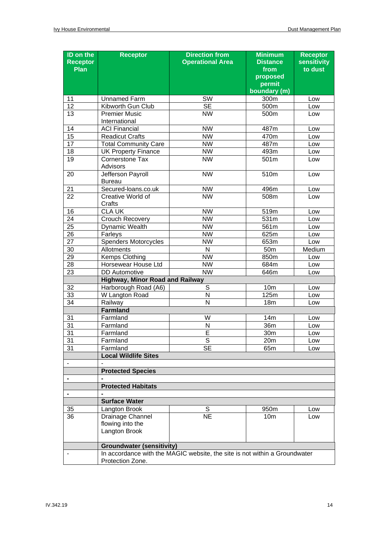| ID on the<br><b>Receptor</b><br><b>Plan</b> | <b>Receptor</b>                                                                                | <b>Direction from</b><br><b>Operational Area</b> | <b>Minimum</b><br><b>Distance</b><br>from<br>proposed<br>permit<br>boundary (m) | <b>Receptor</b><br>sensitivity<br>to dust |  |  |  |
|---------------------------------------------|------------------------------------------------------------------------------------------------|--------------------------------------------------|---------------------------------------------------------------------------------|-------------------------------------------|--|--|--|
| 11                                          | <b>Unnamed Farm</b>                                                                            | SW                                               | 300m                                                                            | Low                                       |  |  |  |
| 12                                          | Kibworth Gun Club                                                                              | <b>SE</b>                                        | 500m                                                                            | Low                                       |  |  |  |
| 13                                          | <b>Premier Music</b>                                                                           | <b>NW</b>                                        | 500m                                                                            | Low                                       |  |  |  |
|                                             | International                                                                                  |                                                  |                                                                                 |                                           |  |  |  |
| 14                                          | <b>ACI Financial</b>                                                                           | <b>NW</b>                                        | 487m                                                                            | Low                                       |  |  |  |
| 15                                          | <b>Readicut Crafts</b>                                                                         | <b>NW</b>                                        | 470m                                                                            | Low                                       |  |  |  |
| 17                                          | <b>Total Community Care</b>                                                                    | <b>NW</b>                                        | 487m                                                                            | Low                                       |  |  |  |
| 18                                          | <b>UK Property Finance</b>                                                                     | <b>NW</b>                                        | 493m                                                                            | Low                                       |  |  |  |
| 19                                          | Cornerstone Tax<br>Advisors                                                                    | <b>NW</b>                                        | 501m                                                                            | Low                                       |  |  |  |
| 20                                          | Jefferson Payroll<br><b>Bureau</b>                                                             | <b>NW</b>                                        | 510m                                                                            | Low                                       |  |  |  |
| 21                                          | Secured-Ioans.co.uk                                                                            | <b>NW</b>                                        | 496m                                                                            | Low                                       |  |  |  |
| 22                                          | Creative World of<br>Crafts                                                                    | <b>NW</b>                                        | 508m                                                                            | Low                                       |  |  |  |
| 16                                          | <b>CLA UK</b>                                                                                  | <b>NW</b>                                        | 519m                                                                            | Low                                       |  |  |  |
| 24                                          | Crouch Recovery                                                                                | <b>NW</b>                                        | 531m                                                                            | Low                                       |  |  |  |
| $\overline{25}$                             | Dynamic Wealth                                                                                 | <b>NW</b>                                        | 561m                                                                            | Low                                       |  |  |  |
| $\overline{26}$                             | Farleys                                                                                        | <b>NW</b>                                        | 625m                                                                            | Low                                       |  |  |  |
| $\overline{27}$                             | <b>Spenders Motorcycles</b>                                                                    | <b>NW</b>                                        | 653m                                                                            | Low                                       |  |  |  |
| 30                                          | Allotments                                                                                     | $\mathsf{N}$                                     | 50 <sub>m</sub>                                                                 | Medium                                    |  |  |  |
| $\overline{29}$                             | <b>Kemps Clothing</b>                                                                          | NW                                               | 850m                                                                            | Low                                       |  |  |  |
| 28                                          | Horsewear House Ltd                                                                            | <b>NW</b>                                        | 684m                                                                            | Low                                       |  |  |  |
| $\overline{23}$                             | <b>DD</b> Automotive                                                                           | $\overline{\text{NW}}$                           | 646m                                                                            | Low                                       |  |  |  |
|                                             | <b>Highway, Minor Road and Railway</b>                                                         |                                                  |                                                                                 |                                           |  |  |  |
| 32                                          | Harborough Road (A6)                                                                           | S                                                | 10 <sub>m</sub>                                                                 | Low                                       |  |  |  |
| 33                                          | W Langton Road                                                                                 | N                                                | 125m                                                                            | Low                                       |  |  |  |
| 34                                          | Railway                                                                                        | N                                                | 18m                                                                             | Low                                       |  |  |  |
|                                             | <b>Farmland</b>                                                                                |                                                  |                                                                                 |                                           |  |  |  |
| 31                                          | Farmland                                                                                       | W                                                | 14m                                                                             | Low                                       |  |  |  |
| 31                                          | Farmland                                                                                       | N                                                | 36m                                                                             | Low                                       |  |  |  |
| 31                                          | Farmland                                                                                       | E                                                | 30m                                                                             | Low                                       |  |  |  |
| 31                                          | Farmland                                                                                       | S                                                | 20m                                                                             | Low                                       |  |  |  |
| 31                                          | Farmland                                                                                       | <b>SE</b>                                        | 65m                                                                             | Low                                       |  |  |  |
|                                             | <b>Local Wildlife Sites</b>                                                                    |                                                  |                                                                                 |                                           |  |  |  |
|                                             | <b>Protected Species</b>                                                                       |                                                  |                                                                                 |                                           |  |  |  |
|                                             |                                                                                                |                                                  |                                                                                 |                                           |  |  |  |
|                                             |                                                                                                |                                                  |                                                                                 |                                           |  |  |  |
|                                             | <b>Protected Habitats</b>                                                                      |                                                  |                                                                                 |                                           |  |  |  |
|                                             | <b>Surface Water</b>                                                                           |                                                  |                                                                                 |                                           |  |  |  |
| 35                                          | Langton Brook                                                                                  | S                                                | 950m                                                                            | Low                                       |  |  |  |
| 36                                          | Drainage Channel<br>flowing into the<br>Langton Brook                                          | <b>NE</b>                                        | 10 <sub>m</sub>                                                                 | Low                                       |  |  |  |
|                                             | <b>Groundwater (sensitivity)</b>                                                               |                                                  |                                                                                 |                                           |  |  |  |
|                                             | In accordance with the MAGIC website, the site is not within a Groundwater<br>Protection Zone. |                                                  |                                                                                 |                                           |  |  |  |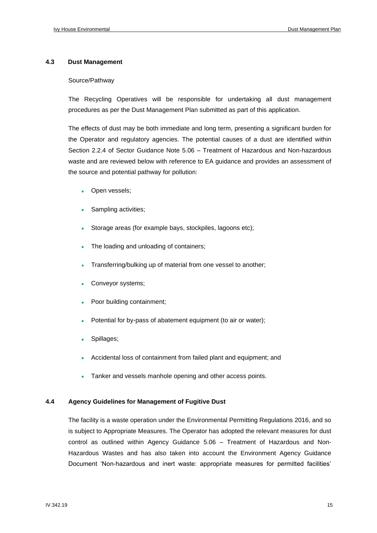#### **4.3 Dust Management**

#### Source/Pathway

The Recycling Operatives will be responsible for undertaking all dust management procedures as per the Dust Management Plan submitted as part of this application.

The effects of dust may be both immediate and long term, presenting a significant burden for the Operator and regulatory agencies. The potential causes of a dust are identified within Section 2.2.4 of Sector Guidance Note 5.06 – Treatment of Hazardous and Non-hazardous waste and are reviewed below with reference to EA guidance and provides an assessment of the source and potential pathway for pollution:

- Open vessels;
- Sampling activities;
- Storage areas (for example bays, stockpiles, lagoons etc);
- The loading and unloading of containers;
- Transferring/bulking up of material from one vessel to another;
- Conveyor systems;
- Poor building containment;
- Potential for by-pass of abatement equipment (to air or water);
- Spillages;
- Accidental loss of containment from failed plant and equipment; and
- Tanker and vessels manhole opening and other access points.

#### **4.4 Agency Guidelines for Management of Fugitive Dust**

The facility is a waste operation under the Environmental Permitting Regulations 2016, and so is subject to Appropriate Measures. The Operator has adopted the relevant measures for dust control as outlined within Agency Guidance 5.06 – Treatment of Hazardous and Non-Hazardous Wastes and has also taken into account the Environment Agency Guidance Document 'Non-hazardous and inert waste: appropriate measures for permitted facilities'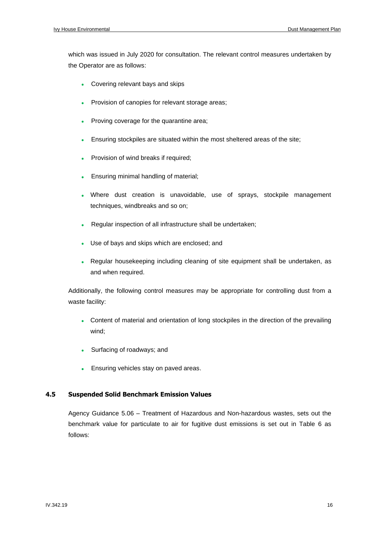which was issued in July 2020 for consultation. The relevant control measures undertaken by the Operator are as follows:

- Covering relevant bays and skips
- Provision of canopies for relevant storage areas;
- Proving coverage for the quarantine area;
- Ensuring stockpiles are situated within the most sheltered areas of the site;
- Provision of wind breaks if required;
- Ensuring minimal handling of material;
- Where dust creation is unavoidable, use of sprays, stockpile management techniques, windbreaks and so on;
- Regular inspection of all infrastructure shall be undertaken;
- Use of bays and skips which are enclosed; and
- Regular housekeeping including cleaning of site equipment shall be undertaken, as and when required.

Additionally, the following control measures may be appropriate for controlling dust from a waste facility:

- Content of material and orientation of long stockpiles in the direction of the prevailing wind;
- Surfacing of roadways; and
- Ensuring vehicles stay on paved areas.

#### **4.5 Suspended Solid Benchmark Emission Values**

Agency Guidance 5.06 – Treatment of Hazardous and Non-hazardous wastes, sets out the benchmark value for particulate to air for fugitive dust emissions is set out in Table 6 as follows: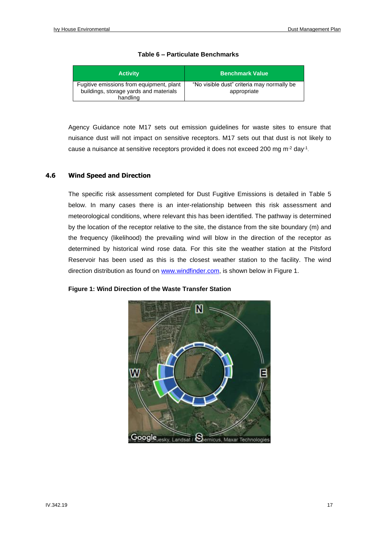| <b>Activity</b>                                                                                | <b>Benchmark Value</b>                                    |
|------------------------------------------------------------------------------------------------|-----------------------------------------------------------|
| Fugitive emissions from equipment, plant<br>buildings, storage yards and materials<br>handling | "No visible dust" criteria may normally be<br>appropriate |

#### **Table 6 – Particulate Benchmarks**

Agency Guidance note M17 sets out emission guidelines for waste sites to ensure that nuisance dust will not impact on sensitive receptors. M17 sets out that dust is not likely to cause a nuisance at sensitive receptors provided it does not exceed 200 mg m<sup>-2</sup> day<sup>-1</sup>.

#### **4.6 Wind Speed and Direction**

The specific risk assessment completed for Dust Fugitive Emissions is detailed in Table 5 below. In many cases there is an inter-relationship between this risk assessment and meteorological conditions, where relevant this has been identified. The pathway is determined by the location of the receptor relative to the site, the distance from the site boundary (m) and the frequency (likelihood) the prevailing wind will blow in the direction of the receptor as determined by historical wind rose data. For this site the weather station at the Pitsford Reservoir has been used as this is the closest weather station to the facility. The wind direction distribution as found on [www.windfinder.com,](http://www.windfinder.com/) is shown below in Figure 1.

#### **Figure 1: Wind Direction of the Waste Transfer Station**

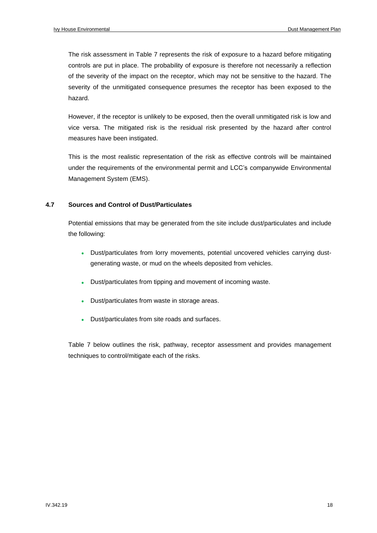The risk assessment in Table 7 represents the risk of exposure to a hazard before mitigating controls are put in place. The probability of exposure is therefore not necessarily a reflection of the severity of the impact on the receptor, which may not be sensitive to the hazard. The severity of the unmitigated consequence presumes the receptor has been exposed to the hazard.

However, if the receptor is unlikely to be exposed, then the overall unmitigated risk is low and vice versa. The mitigated risk is the residual risk presented by the hazard after control measures have been instigated.

This is the most realistic representation of the risk as effective controls will be maintained under the requirements of the environmental permit and LCC's companywide Environmental Management System (EMS).

#### **4.7 Sources and Control of Dust/Particulates**

Potential emissions that may be generated from the site include dust/particulates and include the following:

- Dust/particulates from lorry movements, potential uncovered vehicles carrying dustgenerating waste, or mud on the wheels deposited from vehicles.
- Dust/particulates from tipping and movement of incoming waste.
- Dust/particulates from waste in storage areas.
- Dust/particulates from site roads and surfaces.

Table 7 below outlines the risk, pathway, receptor assessment and provides management techniques to control/mitigate each of the risks.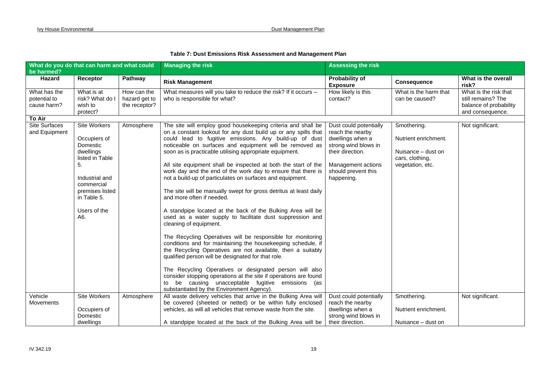#### **Table 7: Dust Emissions Risk Assessment and Management Plan**

| What do you do that can harm and what could |                     |               | <b>Managing the risk</b>                                          | <b>Assessing the risk</b>         |                       |                              |
|---------------------------------------------|---------------------|---------------|-------------------------------------------------------------------|-----------------------------------|-----------------------|------------------------------|
| be harmed?                                  |                     |               |                                                                   |                                   |                       |                              |
| Hazard                                      | Receptor            | Pathway       | <b>Risk Management</b>                                            | Probability of<br><b>Exposure</b> | <b>Consequence</b>    | What is the overall<br>risk? |
| What has the                                | What is at          | How can the   | What measures will you take to reduce the risk? If it occurs -    | How likely is this                | What is the harm that | What is the risk that        |
| potential to                                | risk? What do I     | hazard get to | who is responsible for what?                                      | contact?                          | can be caused?        | still remains? The           |
| cause harm?                                 | wish to             | the receptor? |                                                                   |                                   |                       | balance of probability       |
|                                             | protect?            |               |                                                                   |                                   |                       | and consequence.             |
| To Air                                      |                     |               |                                                                   |                                   |                       |                              |
| <b>Site Surfaces</b>                        | Site Workers        | Atmosphere    | The site will employ good housekeeping criteria and shall be      | Dust could potentially            | Smothering.           | Not significant.             |
| and Equipment                               |                     |               | on a constant lookout for any dust build up or any spills that    | reach the nearby                  |                       |                              |
|                                             | Occupiers of        |               | could lead to fugitive emissions. Any build-up of dust            | dwellings when a                  | Nutrient enrichment.  |                              |
|                                             | Domestic            |               | noticeable on surfaces and equipment will be removed as           | strong wind blows in              |                       |                              |
|                                             | dwellings           |               | soon as is practicable utilising appropriate equipment.           | their direction.                  | Nuisance – dust on    |                              |
|                                             | listed in Table     |               |                                                                   |                                   | cars, clothing,       |                              |
|                                             | 5.                  |               | All site equipment shall be inspected at both the start of the    | Management actions                | vegetation, etc.      |                              |
|                                             |                     |               | work day and the end of the work day to ensure that there is      | should prevent this               |                       |                              |
|                                             | Industrial and      |               | not a build-up of particulates on surfaces and equipment.         | happening.                        |                       |                              |
|                                             | commercial          |               |                                                                   |                                   |                       |                              |
|                                             | premises listed     |               | The site will be manually swept for gross detritus at least daily |                                   |                       |                              |
|                                             | in Table 5.         |               | and more often if needed.                                         |                                   |                       |                              |
|                                             | Users of the        |               | A standpipe located at the back of the Bulking Area will be       |                                   |                       |                              |
|                                             | A6.                 |               | used as a water supply to facilitate dust suppression and         |                                   |                       |                              |
|                                             |                     |               | cleaning of equipment.                                            |                                   |                       |                              |
|                                             |                     |               |                                                                   |                                   |                       |                              |
|                                             |                     |               | The Recycling Operatives will be responsible for monitoring       |                                   |                       |                              |
|                                             |                     |               | conditions and for maintaining the housekeeping schedule, if      |                                   |                       |                              |
|                                             |                     |               | the Recycling Operatives are not available, then a suitably       |                                   |                       |                              |
|                                             |                     |               | qualified person will be designated for that role.                |                                   |                       |                              |
|                                             |                     |               | The Recycling Operatives or designated person will also           |                                   |                       |                              |
|                                             |                     |               | consider stopping operations at the site if operations are found  |                                   |                       |                              |
|                                             |                     |               | be causing unacceptable fugitive emissions (as<br>to              |                                   |                       |                              |
|                                             |                     |               | substantiated by the Environment Agency).                         |                                   |                       |                              |
| Vehicle                                     | <b>Site Workers</b> | Atmosphere    | All waste delivery vehicles that arrive in the Bulking Area will  | Dust could potentially            | Smothering.           | Not significant.             |
| <b>Movements</b>                            |                     |               | be covered (sheeted or netted) or be within fully enclosed        | reach the nearby                  |                       |                              |
|                                             | Occupiers of        |               | vehicles, as will all vehicles that remove waste from the site.   | dwellings when a                  | Nutrient enrichment.  |                              |
|                                             | Domestic            |               |                                                                   | strong wind blows in              |                       |                              |
|                                             | dwellings           |               | A standpipe located at the back of the Bulking Area will be       | their direction.                  | Nuisance - dust on    |                              |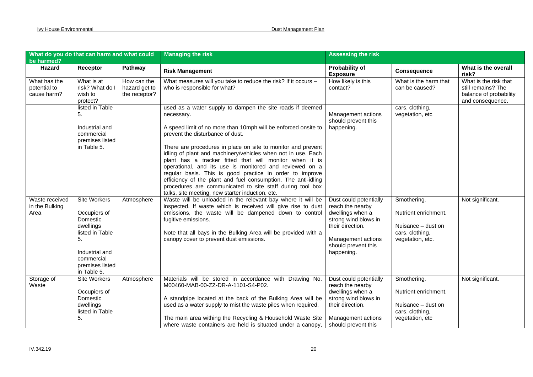| What do you do that can harm and what could<br>be harmed? |                                                      |                                               | <b>Managing the risk</b>                                                                                                                                                                                                                                                                                                                                                                                                                                                                         | <b>Assessing the risk</b>                                                              |                                         |                                                                                           |
|-----------------------------------------------------------|------------------------------------------------------|-----------------------------------------------|--------------------------------------------------------------------------------------------------------------------------------------------------------------------------------------------------------------------------------------------------------------------------------------------------------------------------------------------------------------------------------------------------------------------------------------------------------------------------------------------------|----------------------------------------------------------------------------------------|-----------------------------------------|-------------------------------------------------------------------------------------------|
| Hazard                                                    | Receptor                                             | Pathway                                       | <b>Risk Management</b>                                                                                                                                                                                                                                                                                                                                                                                                                                                                           | <b>Probability of</b><br><b>Exposure</b>                                               | <b>Consequence</b>                      | What is the overall<br>risk?                                                              |
| What has the<br>potential to<br>cause harm?               | What is at<br>risk? What do I<br>wish to<br>protect? | How can the<br>hazard get to<br>the receptor? | What measures will you take to reduce the risk? If it occurs -<br>who is responsible for what?                                                                                                                                                                                                                                                                                                                                                                                                   | How likely is this<br>contact?                                                         | What is the harm that<br>can be caused? | What is the risk that<br>still remains? The<br>balance of probability<br>and consequence. |
|                                                           | listed in Table<br>5.                                |                                               | used as a water supply to dampen the site roads if deemed<br>necessary.                                                                                                                                                                                                                                                                                                                                                                                                                          | Management actions<br>should prevent this                                              | cars, clothing,<br>vegetation, etc      |                                                                                           |
|                                                           | Industrial and<br>commercial<br>premises listed      |                                               | A speed limit of no more than 10mph will be enforced onsite to<br>prevent the disturbance of dust.                                                                                                                                                                                                                                                                                                                                                                                               | happening.                                                                             |                                         |                                                                                           |
|                                                           | in Table 5.                                          |                                               | There are procedures in place on site to monitor and prevent<br>idling of plant and machinery/vehicles when not in use. Each<br>plant has a tracker fitted that will monitor when it is<br>operational, and its use is monitored and reviewed on a<br>regular basis. This is good practice in order to improve<br>efficiency of the plant and fuel consumption. The anti-idling<br>procedures are communicated to site staff during tool box<br>talks, site meeting, new starter induction, etc. |                                                                                        |                                         |                                                                                           |
| Waste received<br>in the Bulking<br>Area                  | <b>Site Workers</b><br>Occupiers of<br>Domestic      | Atmosphere                                    | Waste will be unloaded in the relevant bay where it will be<br>inspected. If waste which is received will give rise to dust<br>emissions, the waste will be dampened down to control<br>fugitive emissions.                                                                                                                                                                                                                                                                                      | Dust could potentially<br>reach the nearby<br>dwellings when a<br>strong wind blows in | Smothering.<br>Nutrient enrichment.     | Not significant.                                                                          |
|                                                           | dwellings<br>listed in Table                         |                                               | Note that all bays in the Bulking Area will be provided with a                                                                                                                                                                                                                                                                                                                                                                                                                                   | their direction.                                                                       | Nuisance - dust on<br>cars, clothing,   |                                                                                           |
|                                                           | 5.<br>Industrial and                                 |                                               | canopy cover to prevent dust emissions.                                                                                                                                                                                                                                                                                                                                                                                                                                                          | Management actions<br>should prevent this                                              | vegetation, etc.                        |                                                                                           |
|                                                           | commercial<br>premises listed<br>in Table 5.         |                                               |                                                                                                                                                                                                                                                                                                                                                                                                                                                                                                  | happening.                                                                             |                                         |                                                                                           |
| Storage of<br>Waste                                       | Site Workers                                         | Atmosphere                                    | Materials will be stored in accordance with Drawing No.<br>M00460-MAB-00-ZZ-DR-A-1101-S4-P02.                                                                                                                                                                                                                                                                                                                                                                                                    | Dust could potentially<br>reach the nearby                                             | Smothering.                             | Not significant.                                                                          |
|                                                           | Occupiers of<br>Domestic                             |                                               | A standpipe located at the back of the Bulking Area will be                                                                                                                                                                                                                                                                                                                                                                                                                                      | dwellings when a<br>strong wind blows in                                               | Nutrient enrichment.                    |                                                                                           |
|                                                           | dwellings<br>listed in Table                         |                                               | used as a water supply to mist the waste piles when required.                                                                                                                                                                                                                                                                                                                                                                                                                                    | their direction.                                                                       | Nuisance - dust on<br>cars, clothing,   |                                                                                           |
|                                                           | 5.                                                   |                                               | The main area withing the Recycling & Household Waste Site<br>where waste containers are held is situated under a canopy,                                                                                                                                                                                                                                                                                                                                                                        | Management actions<br>should prevent this                                              | vegetation, etc                         |                                                                                           |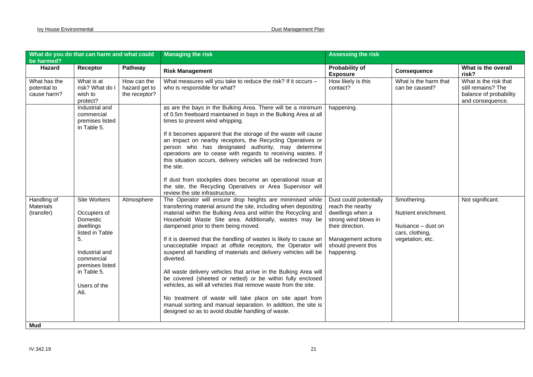| What do you do that can harm and what could<br>be harmed? |                                                                                                                                                                         |                                               | <b>Managing the risk</b>                                                                                                                                                                                                                                                                                                                                                                                                                                                                                                                                                                                                                                                                                                                                                                                                                                                                                    | <b>Assessing the risk</b>                                                                                                                                             |                                                                                                  |                                                                                           |
|-----------------------------------------------------------|-------------------------------------------------------------------------------------------------------------------------------------------------------------------------|-----------------------------------------------|-------------------------------------------------------------------------------------------------------------------------------------------------------------------------------------------------------------------------------------------------------------------------------------------------------------------------------------------------------------------------------------------------------------------------------------------------------------------------------------------------------------------------------------------------------------------------------------------------------------------------------------------------------------------------------------------------------------------------------------------------------------------------------------------------------------------------------------------------------------------------------------------------------------|-----------------------------------------------------------------------------------------------------------------------------------------------------------------------|--------------------------------------------------------------------------------------------------|-------------------------------------------------------------------------------------------|
| Hazard                                                    | Receptor                                                                                                                                                                | Pathway                                       | <b>Risk Management</b>                                                                                                                                                                                                                                                                                                                                                                                                                                                                                                                                                                                                                                                                                                                                                                                                                                                                                      | <b>Probability of</b><br><b>Exposure</b>                                                                                                                              | <b>Consequence</b>                                                                               | What is the overall<br>risk?                                                              |
| What has the<br>potential to<br>cause harm?               | What is at<br>risk? What do I<br>wish to<br>protect?                                                                                                                    | How can the<br>hazard get to<br>the receptor? | What measures will you take to reduce the risk? If it occurs -<br>who is responsible for what?                                                                                                                                                                                                                                                                                                                                                                                                                                                                                                                                                                                                                                                                                                                                                                                                              | How likely is this<br>contact?                                                                                                                                        | What is the harm that<br>can be caused?                                                          | What is the risk that<br>still remains? The<br>balance of probability<br>and consequence. |
|                                                           | Industrial and<br>commercial<br>premises listed<br>in Table 5.                                                                                                          |                                               | as are the bays in the Bulking Area. There will be a minimum<br>of 0.5m freeboard maintained in bays in the Bulking Area at all<br>times to prevent wind whipping.<br>If it becomes apparent that the storage of the waste will cause<br>an impact on nearby receptors, the Recycling Operatives or<br>person who has designated authority, may determine<br>operations are to cease with regards to receiving wastes. If<br>this situation occurs, delivery vehicles will be redirected from<br>the site.<br>If dust from stockpiles does become an operational issue at<br>the site, the Recycling Operatives or Area Supervisor will<br>review the site infrastructure.                                                                                                                                                                                                                                  | happening.                                                                                                                                                            |                                                                                                  |                                                                                           |
| Handling of<br><b>Materials</b><br>(transfer)<br>Mud      | Site Workers<br>Occupiers of<br>Domestic<br>dwellings<br>listed in Table<br>5.<br>Industrial and<br>commercial<br>premises listed<br>in Table 5.<br>Users of the<br>A6. | Atmosphere                                    | The Operator will ensure drop heights are minimised while<br>transferring material around the site, including when depositing<br>material within the Bulking Area and within the Recycling and<br>Household Waste Site area. Additionally, wastes may be<br>dampened prior to them being moved.<br>If it is deemed that the handling of wastes is likely to cause an<br>unacceptable impact at offsite receptors, the Operator will<br>suspend all handling of materials and delivery vehicles will be<br>diverted.<br>All waste delivery vehicles that arrive in the Bulking Area will<br>be covered (sheeted or netted) or be within fully enclosed<br>vehicles, as will all vehicles that remove waste from the site.<br>No treatment of waste will take place on site apart from<br>manual sorting and manual separation. In addition, the site is<br>designed so as to avoid double handling of waste. | Dust could potentially<br>reach the nearby<br>dwellings when a<br>strong wind blows in<br>their direction.<br>Management actions<br>should prevent this<br>happening. | Smothering.<br>Nutrient enrichment.<br>Nuisance - dust on<br>cars, clothing,<br>vegetation, etc. | Not significant.                                                                          |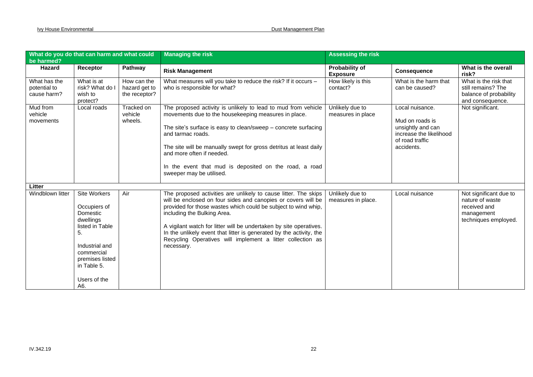| What do you do that can harm and what could<br>be harmed? |                                                                                                                                                                                |                                               | <b>Managing the risk</b>                                                                                                                                                                                                                                                                                                                                                                                                                                   | <b>Assessing the risk</b>                |                                                                                                                     |                                                                                                 |
|-----------------------------------------------------------|--------------------------------------------------------------------------------------------------------------------------------------------------------------------------------|-----------------------------------------------|------------------------------------------------------------------------------------------------------------------------------------------------------------------------------------------------------------------------------------------------------------------------------------------------------------------------------------------------------------------------------------------------------------------------------------------------------------|------------------------------------------|---------------------------------------------------------------------------------------------------------------------|-------------------------------------------------------------------------------------------------|
| Hazard                                                    | Receptor                                                                                                                                                                       | Pathway                                       | <b>Risk Management</b>                                                                                                                                                                                                                                                                                                                                                                                                                                     | <b>Probability of</b><br><b>Exposure</b> | <b>Consequence</b>                                                                                                  | What is the overall<br>risk?                                                                    |
| What has the<br>potential to<br>cause harm?               | What is at<br>risk? What do I<br>wish to<br>protect?                                                                                                                           | How can the<br>hazard get to<br>the receptor? | What measures will you take to reduce the risk? If it occurs -<br>who is responsible for what?                                                                                                                                                                                                                                                                                                                                                             | How likely is this<br>contact?           | What is the harm that<br>can be caused?                                                                             | What is the risk that<br>still remains? The<br>balance of probability<br>and consequence.       |
| Mud from<br>vehicle<br>movements                          | Local roads                                                                                                                                                                    | Tracked on<br>vehicle<br>wheels.              | The proposed activity is unlikely to lead to mud from vehicle<br>movements due to the housekeeping measures in place.<br>The site's surface is easy to clean/sweep $-$ concrete surfacing<br>and tarmac roads.<br>The site will be manually swept for gross detritus at least daily<br>and more often if needed.<br>In the event that mud is deposited on the road, a road<br>sweeper may be utilised.                                                     | Unlikely due to<br>measures in place     | Local nuisance.<br>Mud on roads is<br>unsightly and can<br>increase the likelihood<br>of road traffic<br>accidents. | Not significant.                                                                                |
| Litter                                                    |                                                                                                                                                                                |                                               |                                                                                                                                                                                                                                                                                                                                                                                                                                                            |                                          |                                                                                                                     |                                                                                                 |
| Windblown litter                                          | <b>Site Workers</b><br>Occupiers of<br>Domestic<br>dwellings<br>listed in Table<br>5.<br>Industrial and<br>commercial<br>premises listed<br>in Table 5.<br>Users of the<br>A6. | Air                                           | The proposed activities are unlikely to cause litter. The skips<br>will be enclosed on four sides and canopies or covers will be<br>provided for those wastes which could be subject to wind whip,<br>including the Bulking Area.<br>A vigilant watch for litter will be undertaken by site operatives.<br>In the unlikely event that litter is generated by the activity, the<br>Recycling Operatives will implement a litter collection as<br>necessary. | Unlikely due to<br>measures in place.    | Local nuisance                                                                                                      | Not significant due to<br>nature of waste<br>received and<br>management<br>techniques employed. |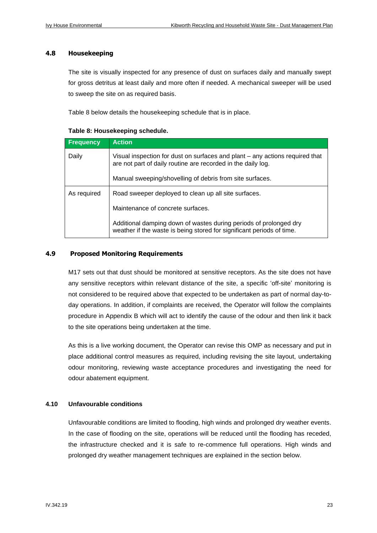#### **4.8 Housekeeping**

The site is visually inspected for any presence of dust on surfaces daily and manually swept for gross detritus at least daily and more often if needed. A mechanical sweeper will be used to sweep the site on as required basis.

Table 8 below details the housekeeping schedule that is in place.

#### **Table 8: Housekeeping schedule.**

| <b>Frequency</b> | <b>Action</b>                                                                                                                                |
|------------------|----------------------------------------------------------------------------------------------------------------------------------------------|
| Daily            | Visual inspection for dust on surfaces and plant - any actions required that<br>are not part of daily routine are recorded in the daily log. |
|                  | Manual sweeping/shovelling of debris from site surfaces.                                                                                     |
| As required      | Road sweeper deployed to clean up all site surfaces.                                                                                         |
|                  | Maintenance of concrete surfaces.                                                                                                            |
|                  | Additional damping down of wastes during periods of prolonged dry<br>weather if the waste is being stored for significant periods of time.   |

#### **4.9 Proposed Monitoring Requirements**

M17 sets out that dust should be monitored at sensitive receptors. As the site does not have any sensitive receptors within relevant distance of the site, a specific 'off-site' monitoring is not considered to be required above that expected to be undertaken as part of normal day-today operations. In addition, if complaints are received, the Operator will follow the complaints procedure in Appendix B which will act to identify the cause of the odour and then link it back to the site operations being undertaken at the time.

As this is a live working document, the Operator can revise this OMP as necessary and put in place additional control measures as required, including revising the site layout, undertaking odour monitoring, reviewing waste acceptance procedures and investigating the need for odour abatement equipment.

#### **4.10 Unfavourable conditions**

Unfavourable conditions are limited to flooding, high winds and prolonged dry weather events. In the case of flooding on the site, operations will be reduced until the flooding has receded, the infrastructure checked and it is safe to re-commence full operations. High winds and prolonged dry weather management techniques are explained in the section below.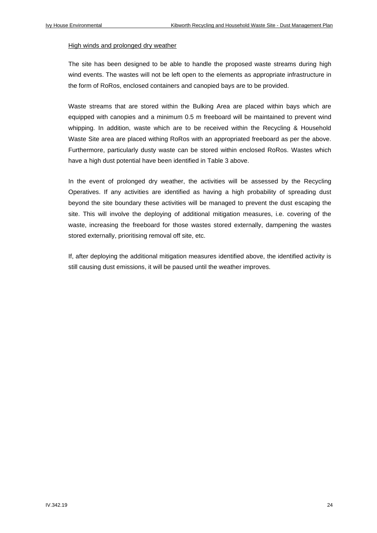#### High winds and prolonged dry weather

The site has been designed to be able to handle the proposed waste streams during high wind events. The wastes will not be left open to the elements as appropriate infrastructure in the form of RoRos, enclosed containers and canopied bays are to be provided.

Waste streams that are stored within the Bulking Area are placed within bays which are equipped with canopies and a minimum 0.5 m freeboard will be maintained to prevent wind whipping. In addition, waste which are to be received within the Recycling & Household Waste Site area are placed withing RoRos with an appropriated freeboard as per the above. Furthermore, particularly dusty waste can be stored within enclosed RoRos. Wastes which have a high dust potential have been identified in Table 3 above.

In the event of prolonged dry weather, the activities will be assessed by the Recycling Operatives. If any activities are identified as having a high probability of spreading dust beyond the site boundary these activities will be managed to prevent the dust escaping the site. This will involve the deploying of additional mitigation measures, i.e. covering of the waste, increasing the freeboard for those wastes stored externally, dampening the wastes stored externally, prioritising removal off site, etc.

If, after deploying the additional mitigation measures identified above, the identified activity is still causing dust emissions, it will be paused until the weather improves.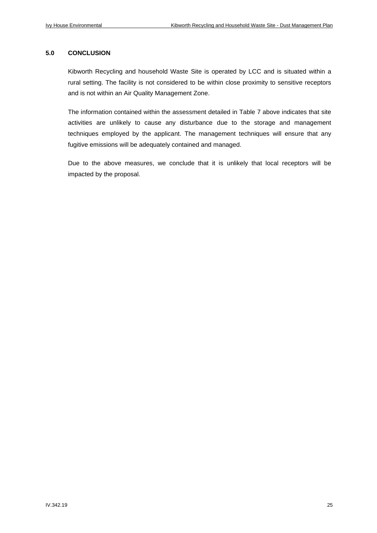#### **5.0 CONCLUSION**

Kibworth Recycling and household Waste Site is operated by LCC and is situated within a rural setting. The facility is not considered to be within close proximity to sensitive receptors and is not within an Air Quality Management Zone.

The information contained within the assessment detailed in Table 7 above indicates that site activities are unlikely to cause any disturbance due to the storage and management techniques employed by the applicant. The management techniques will ensure that any fugitive emissions will be adequately contained and managed.

Due to the above measures, we conclude that it is unlikely that local receptors will be impacted by the proposal.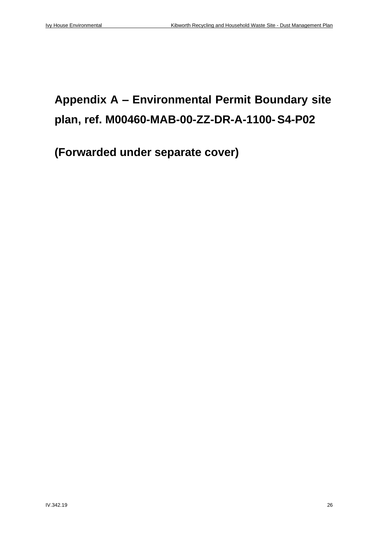# **Appendix A – Environmental Permit Boundary site plan, ref. M00460-MAB-00-ZZ-DR-A-1100-S4-P02**

**(Forwarded under separate cover)**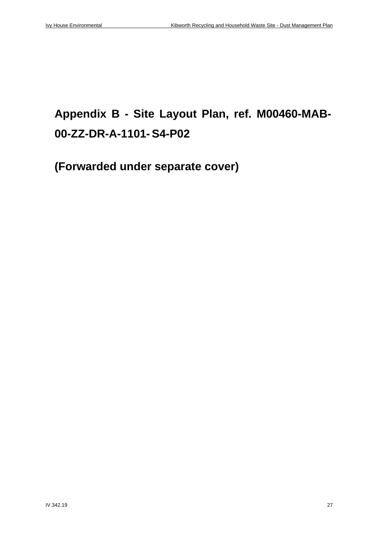# **Appendix B - Site Layout Plan, ref. M00460-MAB-00-ZZ-DR-A-1101-S4-P02**

**(Forwarded under separate cover)**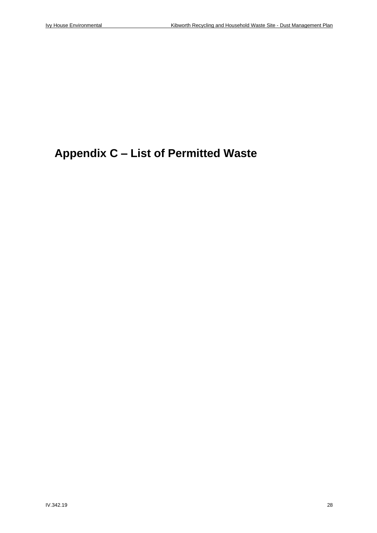### **Appendix C – List of Permitted Waste**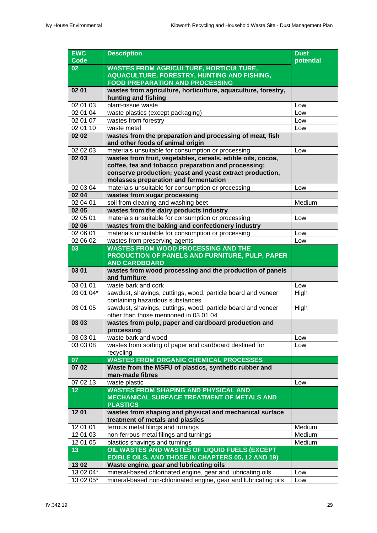| <b>EWC</b><br><b>Code</b> | <b>Description</b>                                                                                     | <b>Dust</b><br>potential |  |  |
|---------------------------|--------------------------------------------------------------------------------------------------------|--------------------------|--|--|
| 02                        | <b>WASTES FROM AGRICULTURE, HORTICULTURE,</b>                                                          |                          |  |  |
|                           | <b>AQUACULTURE, FORESTRY, HUNTING AND FISHING,</b>                                                     |                          |  |  |
|                           | <b>FOOD PREPARATION AND PROCESSING</b>                                                                 |                          |  |  |
| 02 01                     | wastes from agriculture, horticulture, aquaculture, forestry,                                          |                          |  |  |
|                           | hunting and fishing                                                                                    |                          |  |  |
| 02 01 03                  | plant-tissue waste                                                                                     | Low                      |  |  |
| 02 01 04                  | waste plastics (except packaging)                                                                      | Low                      |  |  |
| 02 01 07                  | wastes from forestry                                                                                   | Low                      |  |  |
| 02 01 10                  | waste metal                                                                                            | Low                      |  |  |
| 02 02                     | wastes from the preparation and processing of meat, fish<br>and other foods of animal origin           |                          |  |  |
| 02 02 03                  | materials unsuitable for consumption or processing                                                     | Low                      |  |  |
| 02 03                     | wastes from fruit, vegetables, cereals, edible oils, cocoa,                                            |                          |  |  |
|                           | coffee, tea and tobacco preparation and processing;                                                    |                          |  |  |
|                           | conserve production; yeast and yeast extract production,                                               |                          |  |  |
|                           | molasses preparation and fermentation                                                                  |                          |  |  |
| 02 03 04                  | materials unsuitable for consumption or processing                                                     | Low                      |  |  |
| 02 04                     | wastes from sugar processing                                                                           |                          |  |  |
| 02 04 01                  | soil from cleaning and washing beet                                                                    | Medium                   |  |  |
| 02 05                     | wastes from the dairy products industry                                                                |                          |  |  |
| 02 05 01                  | materials unsuitable for consumption or processing                                                     | Low                      |  |  |
| 02 06                     | wastes from the baking and confectionery industry                                                      |                          |  |  |
| 02 06 01                  | materials unsuitable for consumption or processing                                                     | Low                      |  |  |
| 02 06 02                  | wastes from preserving agents                                                                          | Low                      |  |  |
| 03                        | <b>WASTES FROM WOOD PROCESSING AND THE</b>                                                             |                          |  |  |
|                           | <b>PRODUCTION OF PANELS AND FURNITURE, PULP, PAPER</b>                                                 |                          |  |  |
|                           | <b>AND CARDBOARD</b>                                                                                   |                          |  |  |
| 03 01                     | wastes from wood processing and the production of panels<br>and furniture                              |                          |  |  |
| 03 01 01                  | waste bark and cork                                                                                    | Low                      |  |  |
| $\overline{03}$ 01 04*    | sawdust, shavings, cuttings, wood, particle board and veneer                                           | High                     |  |  |
|                           | containing hazardous substances                                                                        |                          |  |  |
| 03 01 05                  | sawdust, shavings, cuttings, wood, particle board and veneer<br>other than those mentioned in 03 01 04 | High                     |  |  |
| 03 03                     | wastes from pulp, paper and cardboard production and                                                   |                          |  |  |
|                           | processing                                                                                             |                          |  |  |
| 03 03 01                  | waste bark and wood                                                                                    | Low                      |  |  |
| 03 03 08                  | wastes from sorting of paper and cardboard destined for                                                | Low                      |  |  |
|                           | recycling                                                                                              |                          |  |  |
| 07                        | <b>WASTES FROM ORGANIC CHEMICAL PROCESSES</b>                                                          |                          |  |  |
| 07 02                     | Waste from the MSFU of plastics, synthetic rubber and<br>man-made fibres                               |                          |  |  |
| 07 02 13                  | waste plastic                                                                                          | Low                      |  |  |
| 12                        | <b>WASTES FROM SHAPING AND PHYSICAL AND</b>                                                            |                          |  |  |
|                           | <b>MECHANICAL SURFACE TREATMENT OF METALS AND</b>                                                      |                          |  |  |
|                           | <b>PLASTICS</b>                                                                                        |                          |  |  |
| 1201                      | wastes from shaping and physical and mechanical surface<br>treatment of metals and plastics            |                          |  |  |
| 12 01 01                  | ferrous metal filings and turnings                                                                     | Medium                   |  |  |
| 12 01 03                  | non-ferrous metal filings and turnings                                                                 | Medium                   |  |  |
| 12 01 05                  | plastics shavings and turnings                                                                         | Medium                   |  |  |
| 13                        | OIL WASTES AND WASTES OF LIQUID FUELS (EXCEPT                                                          |                          |  |  |
|                           | EDIBLE OILS, AND THOSE IN CHAPTERS 05, 12 AND 19)                                                      |                          |  |  |
| 1302                      | Waste engine, gear and lubricating oils                                                                |                          |  |  |
| 13 02 04*                 | mineral-based chlorinated engine, gear and lubricating oils                                            | Low                      |  |  |
| 13 02 05*                 | mineral-based non-chlorinated engine, gear and lubricating oils                                        | Low                      |  |  |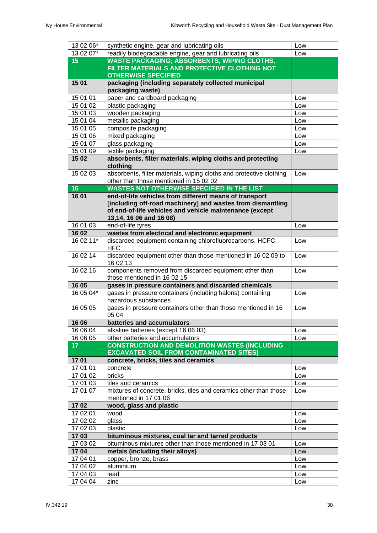| 13 02 06*       | synthetic engine, gear and lubricating oils                                           | Low |
|-----------------|---------------------------------------------------------------------------------------|-----|
| 13 02 07*       | readily biodegradable engine, gear and lubricating oils                               | Low |
| 15              | <b>WASTE PACKAGING; ABSORBENTS, WIPING CLOTHS,</b>                                    |     |
|                 | FILTER MATERIALS AND PROTECTIVE CLOTHING NOT                                          |     |
|                 | <b>OTHERWISE SPECIFIED</b>                                                            |     |
| 1501            | packaging (including separately collected municipal                                   |     |
|                 | packaging waste)                                                                      |     |
| 15 01 01        | paper and cardboard packaging                                                         | Low |
| 15 01 02        | plastic packaging                                                                     | Low |
| 15 01 03        | wooden packaging                                                                      | Low |
| 15 01 04        | metallic packaging                                                                    | Low |
| 15 01 05        | composite packaging                                                                   | Low |
| 15 01 06        | mixed packaging                                                                       | Low |
| 15 01 07        | glass packaging                                                                       | Low |
| 15 01 09        | textile packaging                                                                     | Low |
| 1502            | absorbents, filter materials, wiping cloths and protecting<br>clothing                |     |
| 15 02 03        | absorbents, filter materials, wiping cloths and protective clothing                   | Low |
|                 | other than those mentioned in 15 02 02                                                |     |
| 16              | <b>WASTES NOT OTHERWISE SPECIFIED IN THE LIST</b>                                     |     |
| 1601            | end-of-life vehicles from different means of transport                                |     |
|                 | [including off-road machinery] and wastes from dismantling                            |     |
|                 | of end-of-life vehicles and vehicle maintenance (except                               |     |
|                 | 13,14, 16 06 and 16 08)                                                               |     |
| 16 01 03        | end-of-life tyres                                                                     | Low |
| 1602            | wastes from electrical and electronic equipment                                       |     |
| 16 02 11*       | discarded equipment containing chlorofluorocarbons, HCFC,<br><b>HFC</b>               | Low |
| 16 02 14        | discarded equipment other than those mentioned in 16 02 09 to<br>16 02 13             | Low |
| 16 02 16        | components removed from discarded equipment other than<br>those mentioned in 16 02 15 | Low |
| 16 05           | gases in pressure containers and discarded chemicals                                  |     |
| 16 05 04*       | gases in pressure containers (including halons) containing                            | Low |
|                 | hazardous substances                                                                  |     |
| 16 05 05        | gases in pressure containers other than those mentioned in 16<br>05 04                | Low |
| 16 06           | batteries and accumulators                                                            |     |
| 16 06 04        | alkaline batteries (except 16 06 03)                                                  | Low |
| 16 06 05        | other batteries and accumulators                                                      | Low |
| 17 <sub>2</sub> | <b>CONSTRUCTION AND DEMOLITION WASTES (INCLUDING</b>                                  |     |
|                 | <b>EXCAVATED SOIL FROM CONTAMINATED SITES)</b>                                        |     |
| 1701            | concrete, bricks, tiles and ceramics                                                  |     |
| 17 01 01        | concrete                                                                              | Low |
| 17 01 02        | bricks                                                                                | Low |
| 17 01 03        | tiles and ceramics                                                                    | Low |
| 17 01 07        | mixtures of concrete, bricks, tiles and ceramics other than those                     | Low |
|                 | mentioned in 17 01 06                                                                 |     |
| 1702            | wood, glass and plastic                                                               |     |
| 17 02 01        | wood                                                                                  | Low |
| 17 02 02        | glass                                                                                 | Low |
| 17 02 03        | plastic                                                                               | Low |
| 1703            | bituminous mixtures, coal tar and tarred products                                     |     |
| 17 03 02        | bituminous mixtures other than those mentioned in 17 03 01                            | Low |
| 1704            | metals (including their alloys)                                                       | Low |
| 17 04 01        | copper, bronze, brass                                                                 | Low |
| 17 04 02        | aluminium                                                                             | Low |
| 17 04 03        | lead                                                                                  | Low |
| 17 04 04        | zinc                                                                                  | Low |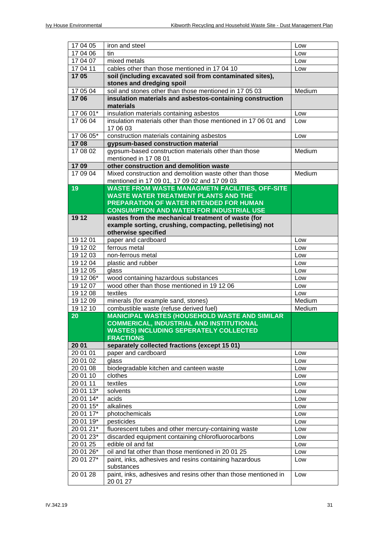| 17 04 05              | iron and steel                                                                                   | Low        |
|-----------------------|--------------------------------------------------------------------------------------------------|------------|
| 17 04 06              | tin                                                                                              | Low        |
| 17 04 07              | mixed metals                                                                                     | Low        |
| 17 04 11              | cables other than those mentioned in 17 04 10                                                    | Low        |
| 1705                  | soil (including excavated soil from contaminated sites),                                         |            |
|                       | stones and dredging spoil                                                                        |            |
| 17 05 04              | soil and stones other than those mentioned in 17 05 03                                           | Medium     |
| 1706                  | insulation materials and asbestos-containing construction                                        |            |
|                       | materials                                                                                        |            |
| 17 06 01*             | insulation materials containing asbestos                                                         | Low        |
| 17 06 04              | insulation materials other than those mentioned in 17 06 01 and                                  | Low        |
|                       | 17 06 03                                                                                         |            |
| 17 06 05*             | construction materials containing asbestos                                                       | Low        |
| 1708                  | gypsum-based construction material                                                               |            |
| 17 08 02              | gypsum-based construction materials other than those                                             | Medium     |
|                       | mentioned in 17 08 01                                                                            |            |
| 1709                  | other construction and demolition waste                                                          |            |
| 17 09 04              | Mixed construction and demolition waste other than those                                         | Medium     |
|                       | mentioned in 17 09 01, 17 09 02 and 17 09 03                                                     |            |
| 19                    | <b>WASTE FROM WASTE MANAGMETN FACILITIES, OFF-SITE</b>                                           |            |
|                       | <b>WASTE WATER TREATMENT PLANTS AND THE</b>                                                      |            |
|                       | PREPARATION OF WATER INTENDED FOR HUMAN                                                          |            |
|                       | <b>CONSUMPTION AND WATER FOR INDUSTRIAL USE</b>                                                  |            |
| 19 12                 | wastes from the mechanical treatment of waste (for                                               |            |
|                       | example sorting, crushing, compacting, pelletising) not                                          |            |
|                       | otherwise specified                                                                              |            |
| 19 12 01              | paper and cardboard                                                                              | Low        |
| 19 12 02              | ferrous metal                                                                                    | Low        |
| 19 12 03              | non-ferrous metal                                                                                | Low        |
| 19 12 04              | plastic and rubber                                                                               | Low        |
| 19 12 05              | glass                                                                                            | Low        |
| 19 12 06*             | wood containing hazardous substances                                                             | Low        |
| 19 12 07              | wood other than those mentioned in 19 12 06                                                      | Low        |
| 19 12 08              | textiles                                                                                         | Low        |
| 191209                | minerals (for example sand, stones)                                                              | Medium     |
| 19 12 10              | combustible waste (refuse derived fuel)                                                          | Medium     |
| 20                    | <b>MANICIPAL WASTES (HOUSEHOLD WASTE AND SIMILAR</b>                                             |            |
|                       | <b>COMMERICAL, INDUSTRIAL AND INSTITUTIONAL</b><br><b>WASTES) INCLUDING SEPERATELY COLLECTED</b> |            |
|                       | <b>FRACTIONS</b>                                                                                 |            |
| 20 01                 | separately collected fractions (except 15 01)                                                    |            |
| 20 01 01              | paper and cardboard                                                                              | Low        |
| 20 01 02              | glass                                                                                            | Low        |
| 20 01 08              | biodegradable kitchen and canteen waste                                                          | Low        |
| 20 01 10              | clothes                                                                                          | Low        |
| 20 01 11              | textiles                                                                                         | Low        |
| 20 01 13*             | solvents                                                                                         | Low        |
| 20 01 14*             | acids                                                                                            | Low        |
| 20 01 15*             | alkalines                                                                                        | Low        |
| 20 01 17*             | photochemicals                                                                                   | Low        |
| 20 01 19*             |                                                                                                  |            |
| 20 01 21*             | pesticides<br>fluorescent tubes and other mercury-containing waste                               | Low<br>Low |
|                       |                                                                                                  |            |
| 20 01 23*<br>20 01 25 | discarded equipment containing chlorofluorocarbons<br>edible oil and fat                         | Low        |
| 20 01 26*             | oil and fat other than those mentioned in 20 01 25                                               | Low        |
| 20 01 27*             | paint, inks, adhesives and resins containing hazardous                                           | Low        |
|                       | substances                                                                                       | Low        |
| 20 01 28              | paint, inks, adhesives and resins other than those mentioned in<br>20 01 27                      | Low        |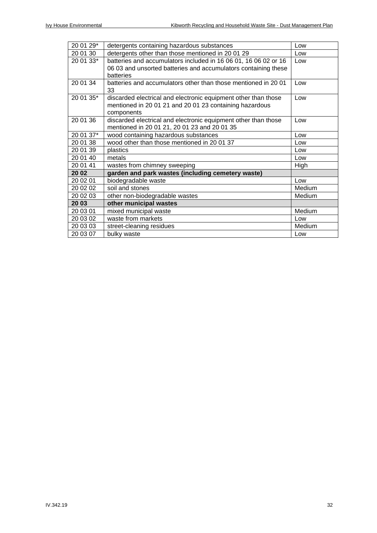| 20 01 29* | detergents containing hazardous substances                      | Low    |
|-----------|-----------------------------------------------------------------|--------|
| 20 01 30  | detergents other than those mentioned in 20 01 29               | Low    |
| 20 01 33* | batteries and accumulators included in 16 06 01, 16 06 02 or 16 | Low    |
|           | 06 03 and unsorted batteries and accumulators containing these  |        |
|           | batteries                                                       |        |
| 20 01 34  | batteries and accumulators other than those mentioned in 20 01  | Low    |
|           | 33                                                              |        |
| 20 01 35* | discarded electrical and electronic equipment other than those  | Low    |
|           | mentioned in 20 01 21 and 20 01 23 containing hazardous         |        |
|           | components                                                      |        |
| 20 01 36  | discarded electrical and electronic equipment other than those  | Low    |
|           | mentioned in 20 01 21, 20 01 23 and 20 01 35                    |        |
| 20 01 37* | wood containing hazardous substances                            | Low    |
| 20 01 38  | wood other than those mentioned in 20 01 37                     | Low    |
| 20 01 39  | plastics                                                        | Low    |
| 20 01 40  | metals                                                          | Low    |
| 20 01 41  | wastes from chimney sweeping                                    | High   |
| 20 02     | garden and park wastes (including cemetery waste)               |        |
| 20 02 01  | biodegradable waste                                             | Low    |
| 20 02 02  | soil and stones                                                 | Medium |
| 20 02 03  | other non-biodegradable wastes                                  | Medium |
| 20 03     | other municipal wastes                                          |        |
| 20 03 01  | mixed municipal waste                                           | Medium |
| 20 03 02  | waste from markets                                              | Low    |
| 20 03 03  | street-cleaning residues                                        | Medium |
| 20 03 07  | bulky waste                                                     | Low    |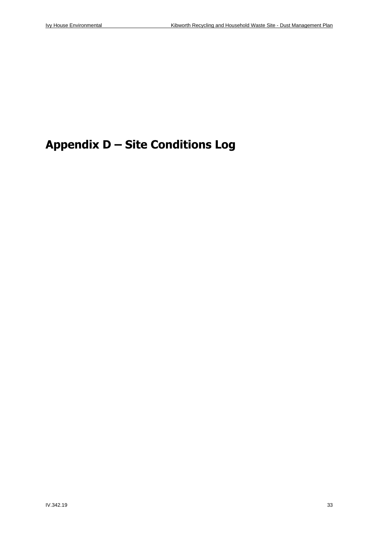## **Appendix D – Site Conditions Log**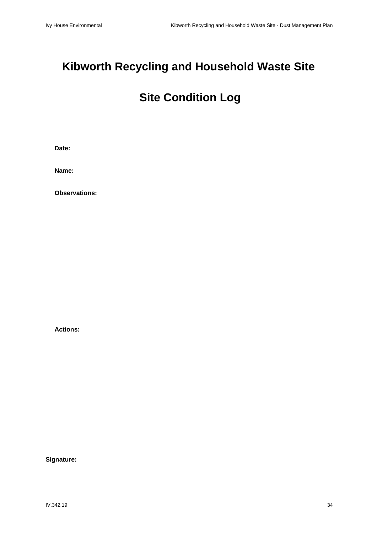## **Kibworth Recycling and Household Waste Site**

### **Site Condition Log**

**Date:**

**Name:**

**Observations:**

**Actions:**

**Signature:**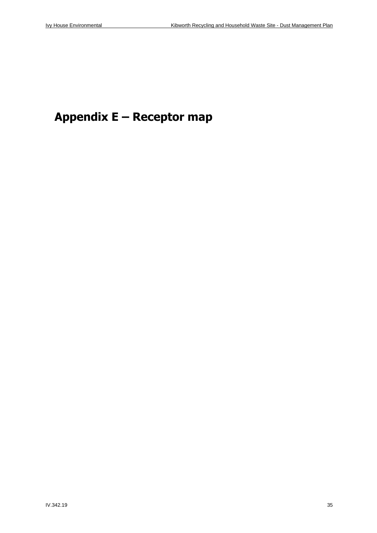## **Appendix E – Receptor map**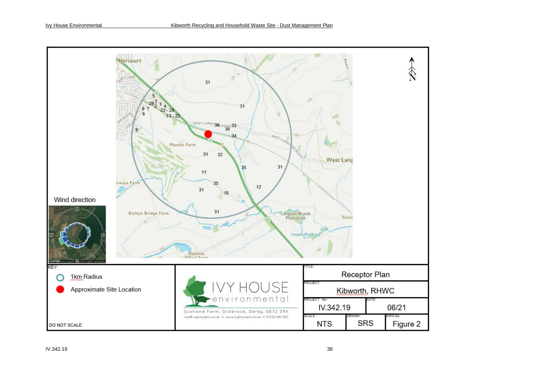